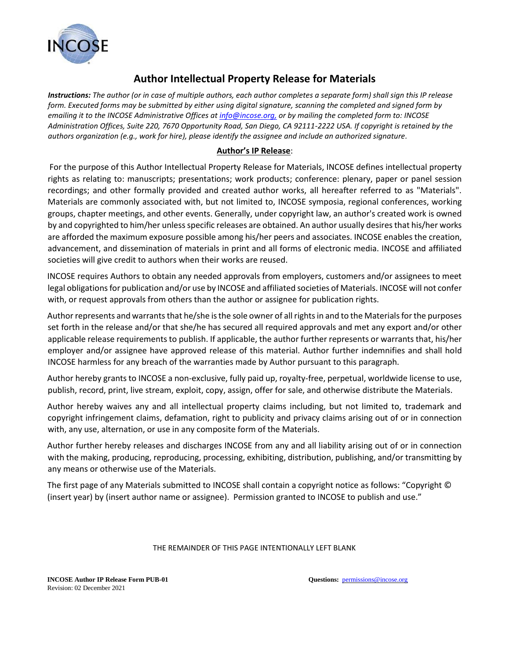

## **Author Intellectual Property Release for Materials**

*Instructions: The author (or in case of multiple authors, each author completes a separate form) shall sign this IP release form. Executed forms may be submitted by either using digital signature, scanning the completed and signed form by emailing it to the INCOSE Administrative Offices at info@incose.org, or by mailing the completed form to: INCOSE Administration Offices, Suite 220, 7670 Opportunity Road, San Diego, CA 92111-2222 USA. If copyright is retained by the authors organization (e.g., work for hire), please identify the assignee and include an authorized signature.*

## **Author's IP Release**:

For the purpose of this Author Intellectual Property Release for Materials, INCOSE defines intellectual property rights as relating to: manuscripts; presentations; work products; conference: plenary, paper or panel session recordings; and other formally provided and created author works, all hereafter referred to as "Materials". Materials are commonly associated with, but not limited to, INCOSE symposia, regional conferences, working groups, chapter meetings, and other events. Generally, under copyright law, an author's created work is owned by and copyrighted to him/her unless specific releases are obtained. An author usually desires that his/her works are afforded the maximum exposure possible among his/her peers and associates. INCOSE enables the creation, advancement, and dissemination of materials in print and all forms of electronic media. INCOSE and affiliated societies will give credit to authors when their works are reused.

INCOSE requires Authors to obtain any needed approvals from employers, customers and/or assignees to meet legal obligations for publication and/or use by INCOSE and affiliated societies of Materials. INCOSE will not confer with, or request approvals from others than the author or assignee for publication rights.

Author represents and warrants that he/she is the sole owner of all rights in and to the Materials for the purposes set forth in the release and/or that she/he has secured all required approvals and met any export and/or other applicable release requirements to publish. If applicable, the author further represents or warrants that, his/her employer and/or assignee have approved release of this material. Author further indemnifies and shall hold INCOSE harmless for any breach of the warranties made by Author pursuant to this paragraph.

Author hereby grants to INCOSE a non-exclusive, fully paid up, royalty-free, perpetual, worldwide license to use, publish, record, print, live stream, exploit, copy, assign, offer for sale, and otherwise distribute the Materials.

Author hereby waives any and all intellectual property claims including, but not limited to, trademark and copyright infringement claims, defamation, right to publicity and privacy claims arising out of or in connection with, any use, alternation, or use in any composite form of the Materials.

Author further hereby releases and discharges INCOSE from any and all liability arising out of or in connection with the making, producing, reproducing, processing, exhibiting, distribution, publishing, and/or transmitting by any means or otherwise use of the Materials.

The first page of any Materials submitted to INCOSE shall contain a copyright notice as follows: "Copyright © (insert year) by (insert author name or assignee). Permission granted to INCOSE to publish and use."

## THE REMAINDER OF THIS PAGE INTENTIONALLY LEFT BLANK

**INCOSE Author IP Release Form PUB-01 Questions: Questions: Questions: permissions@incose.org** Revision: 02 December 2021